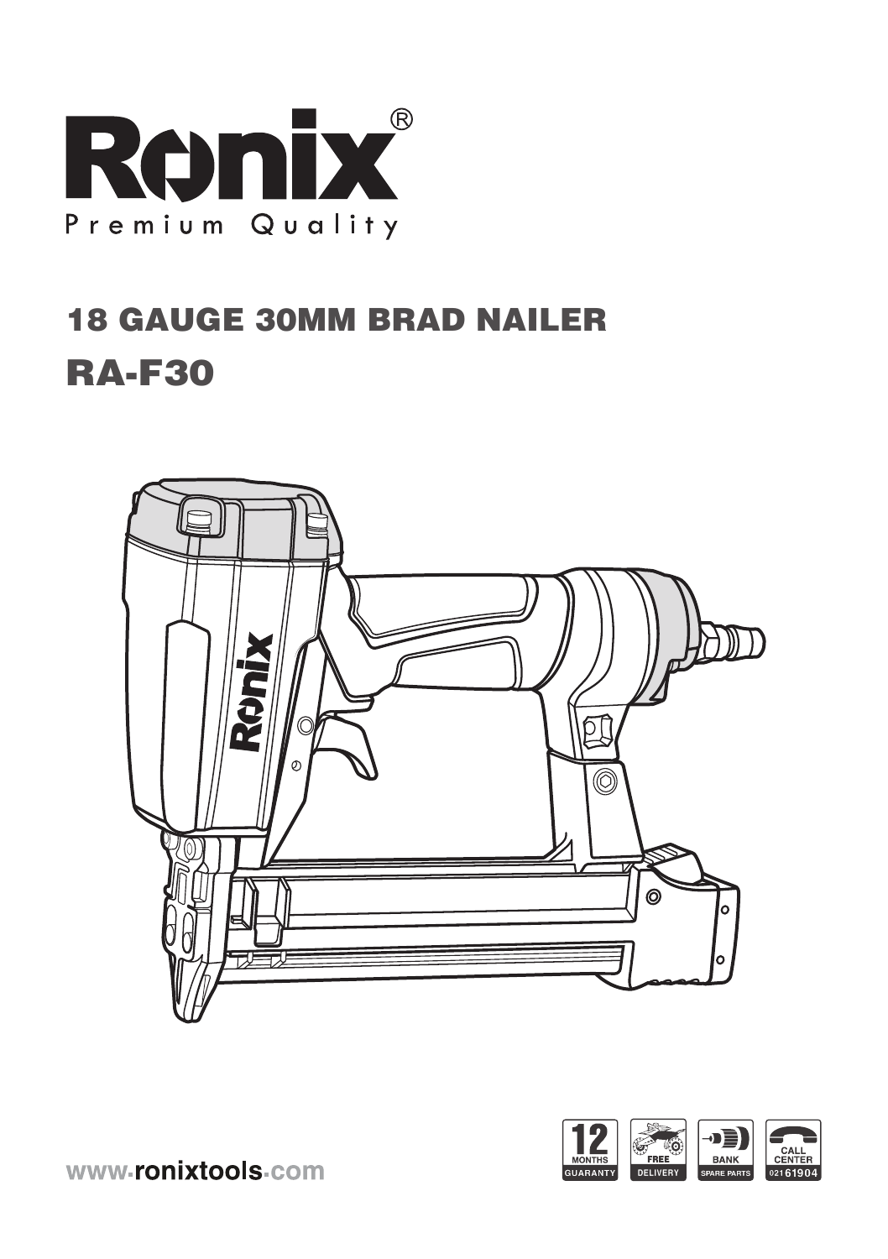

# **18 GAUGE 30MM BRAD NAILER RA-F30**





www-ronixtools-com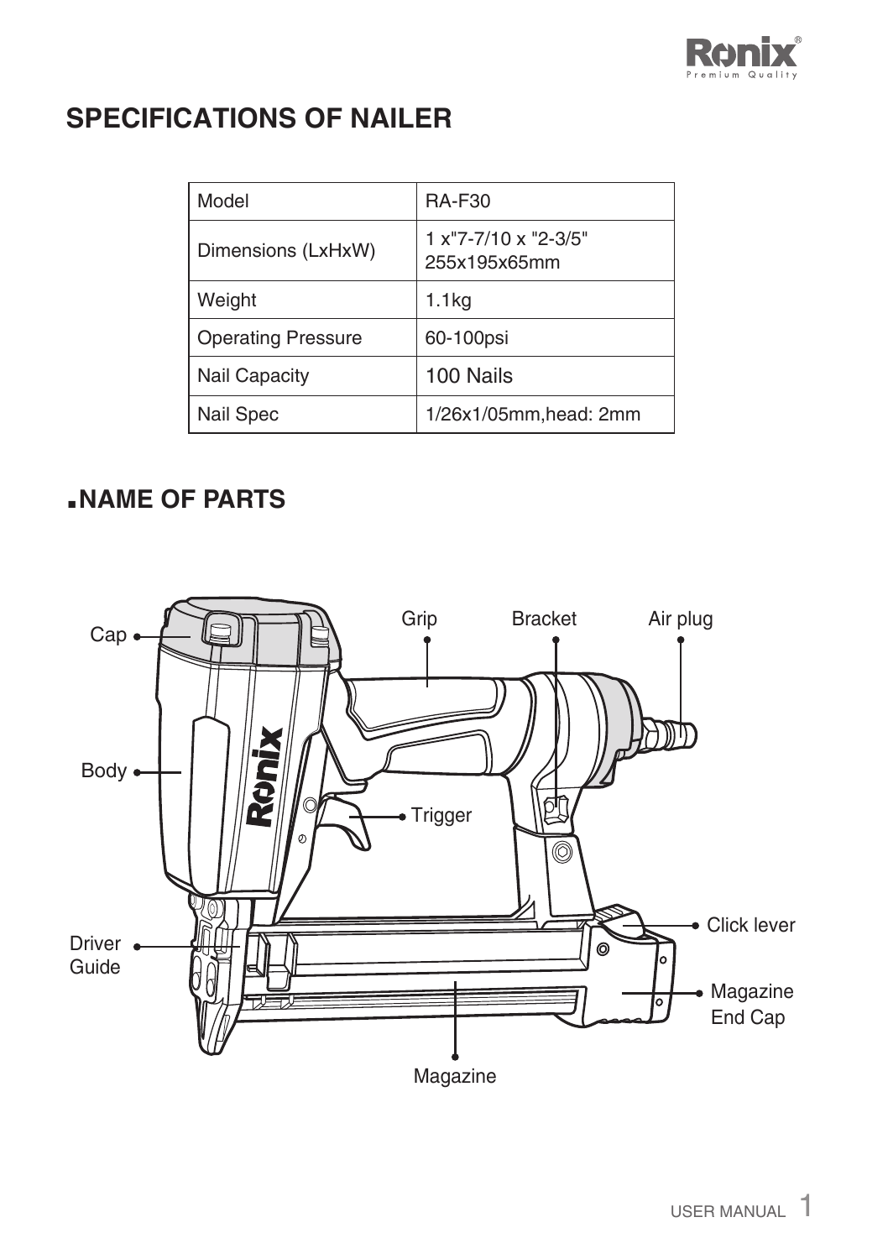

### **SPECIFICATIONS OF NAILER**

| Model                     | <b>RA-F30</b>                        |
|---------------------------|--------------------------------------|
| Dimensions (LxHxW)        | 1 x"7-7/10 x "2-3/5"<br>255x195x65mm |
| Weight                    | 1.1kg                                |
| <b>Operating Pressure</b> | 60-100psi                            |
| Nail Capacity             | 100 Nails                            |
| Nail Spec                 | 1/26x1/05mm, head: 2mm               |

#### **.NAME OF PARTS**

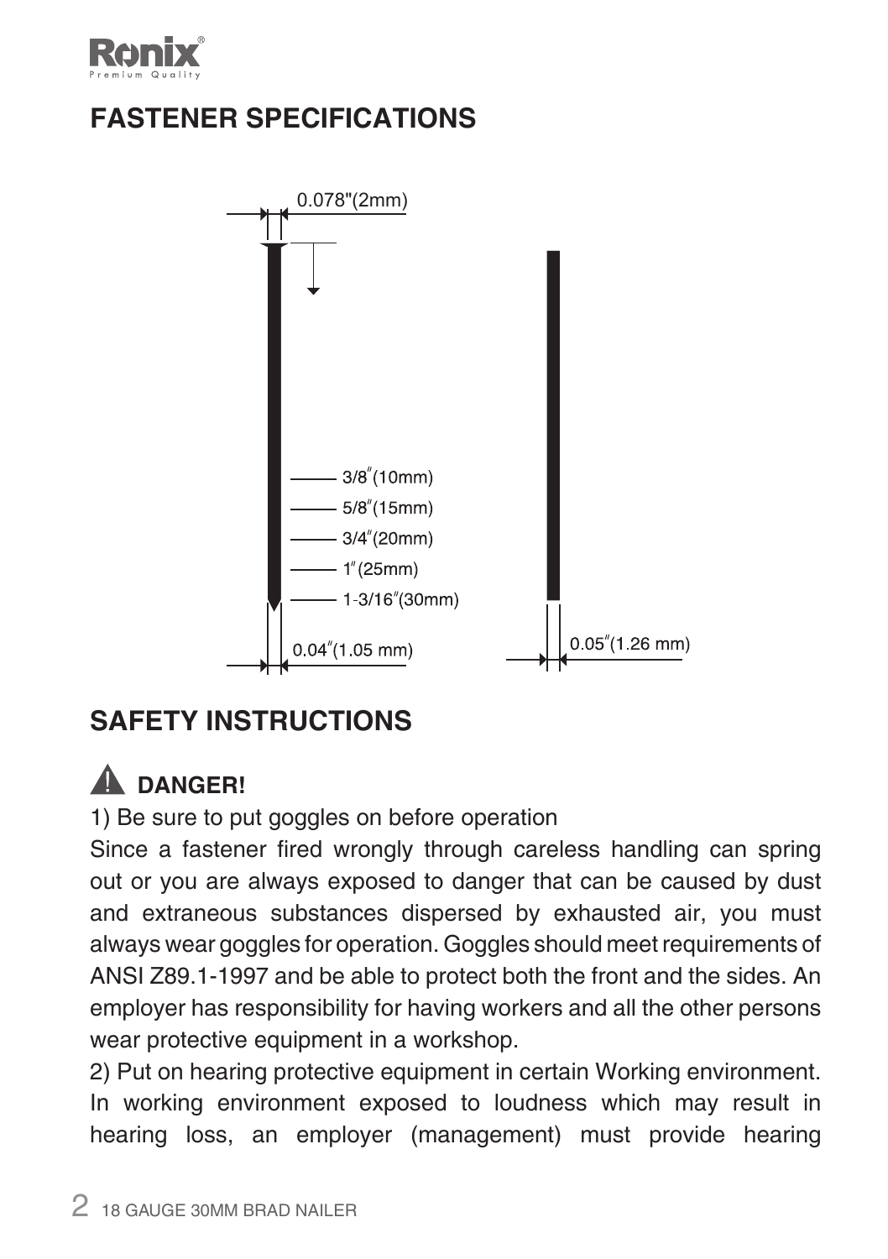

### **FASTENER SPECIFICATIONS**



## **SAFETY INSTRUCTIONS**

## **AL DANGER!**

1) Be sure to put goggles on before operation

Since a fastener fired wrongly through careless handling can spring out or you are always exposed to danger that can be caused by dust and extraneous substances dispersed by exhausted air, you must always wear goggles for operation. Goggles should meet requirements of ANSI Z89.1-1997 and be able to protect both the front and the sides. An employer has responsibility for having workers and all the other persons wear protective equipment in a workshop.

2) Put on hearing protective equipment in certain Working environment. In working environment exposed to loudness which may result in hearing loss, an employer (management) must provide hearing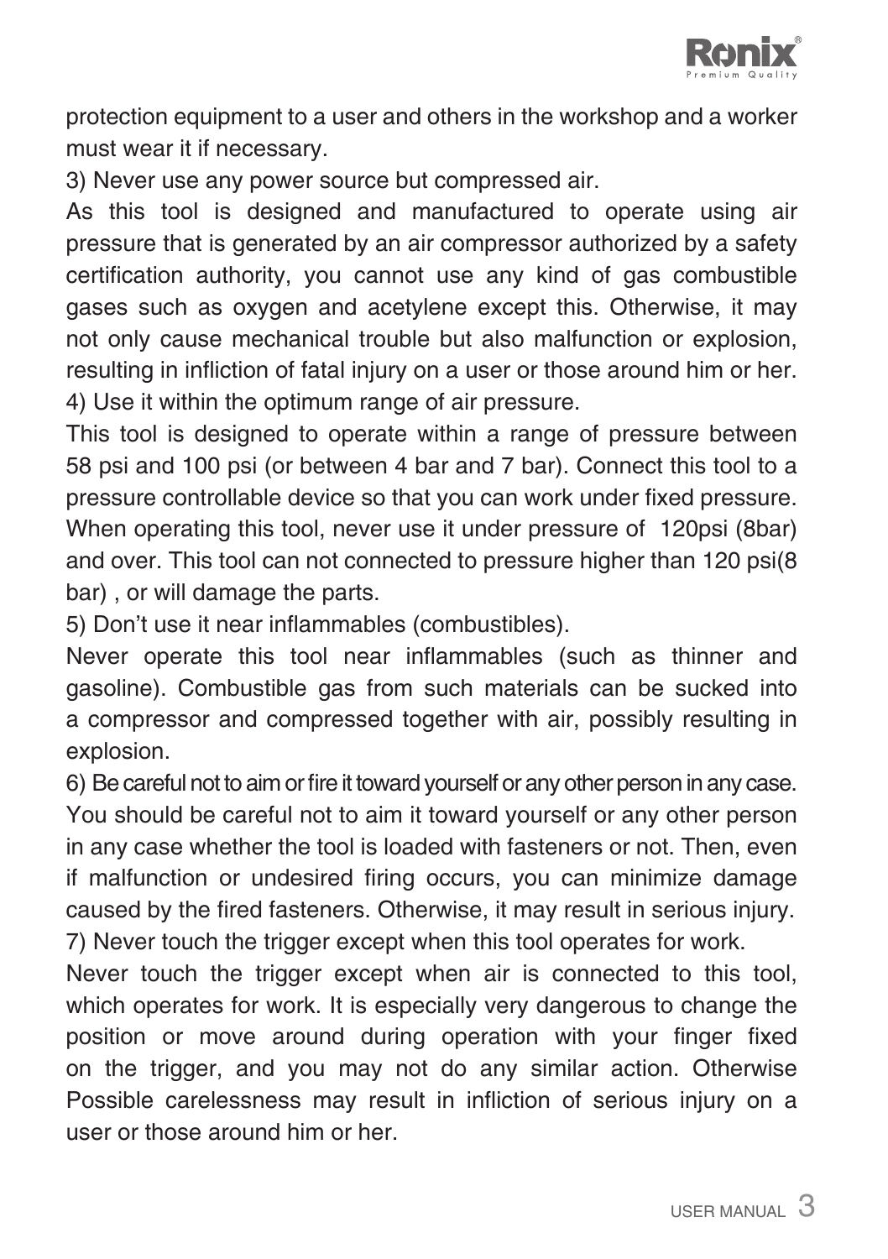

protection equipment to a user and others in the workshop and a worker must wear it if necessary.

3) Never use any power source but compressed air.

As this tool is designed and manufactured to operate using air pressure that is generated by an air compressor authorized by a safety certification authority, you cannot use any kind of gas combustible gases such as oxygen and acetylene except this. Otherwise, it may not only cause mechanical trouble but also malfunction or explosion, resulting in infliction of fatal injury on a user or those around him or her. 4) Use it within the optimum range of air pressure.

This tool is designed to operate within a range of pressure between 58 psi and 100 psi (or between 4 bar and 7 bar). Connect this tool to a pressure controllable device so that you can work under fixed pressure. When operating this tool, never use it under pressure of 120psi (8bar) and over. This tool can not connected to pressure higher than 120 psi(8 bar) , or will damage the parts.

5) Don't use it near inflammables (combustibles).

Never operate this tool near inflammables (such as thinner and gasoline). Combustible gas from such materials can be sucked into a compressor and compressed together with air, possibly resulting in explosion.

6) Be careful not to aim or fire it toward yourself or any other person in any case. You should be careful not to aim it toward yourself or any other person in any case whether the tool is loaded with fasteners or not. Then, even if malfunction or undesired firing occurs, you can minimize damage caused by the fired fasteners. Otherwise, it may result in serious injury. 7) Never touch the trigger except when this tool operates for work.

Never touch the trigger except when air is connected to this tool, which operates for work. It is especially very dangerous to change the position or move around during operation with your finger fixed on the trigger, and you may not do any similar action. Otherwise Possible carelessness may result in infliction of serious injury on a user or those around him or her.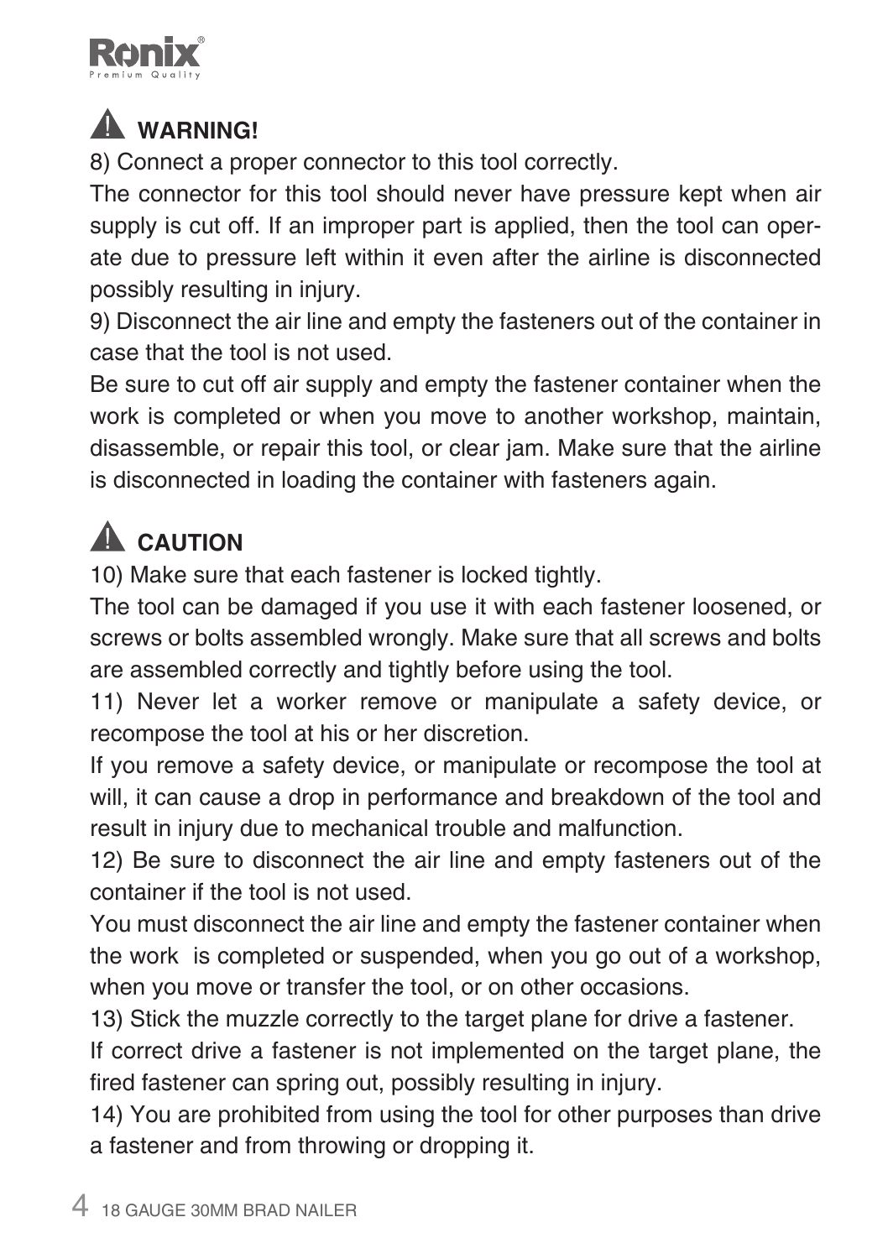

## **WARNING!**

8) Connect a proper connector to this tool correctly.

The connector for this tool should never have pressure kept when air supply is cut off. If an improper part is applied, then the tool can operate due to pressure left within it even after the airline is disconnected possibly resulting in injury.

9) Disconnect the air line and empty the fasteners out of the container in case that the tool is not used.

Be sure to cut off air supply and empty the fastener container when the work is completed or when you move to another workshop, maintain, disassemble, or repair this tool, or clear jam. Make sure that the airline is disconnected in loading the container with fasteners again.

# A CAUTION

10) Make sure that each fastener is locked tightly.

The tool can be damaged if you use it with each fastener loosened, or screws or bolts assembled wrongly. Make sure that all screws and bolts are assembled correctly and tightly before using the tool.

11) Never let a worker remove or manipulate a safety device, or recompose the tool at his or her discretion.

If you remove a safety device, or manipulate or recompose the tool at will, it can cause a drop in performance and breakdown of the tool and result in injury due to mechanical trouble and malfunction.

12) Be sure to disconnect the air line and empty fasteners out of the container if the tool is not used.

You must disconnect the air line and empty the fastener container when the work is completed or suspended, when you go out of a workshop, when you move or transfer the tool, or on other occasions.

13) Stick the muzzle correctly to the target plane for drive a fastener.

If correct drive a fastener is not implemented on the target plane, the fired fastener can spring out, possibly resulting in injury.

14) You are prohibited from using the tool for other purposes than drive a fastener and from throwing or dropping it.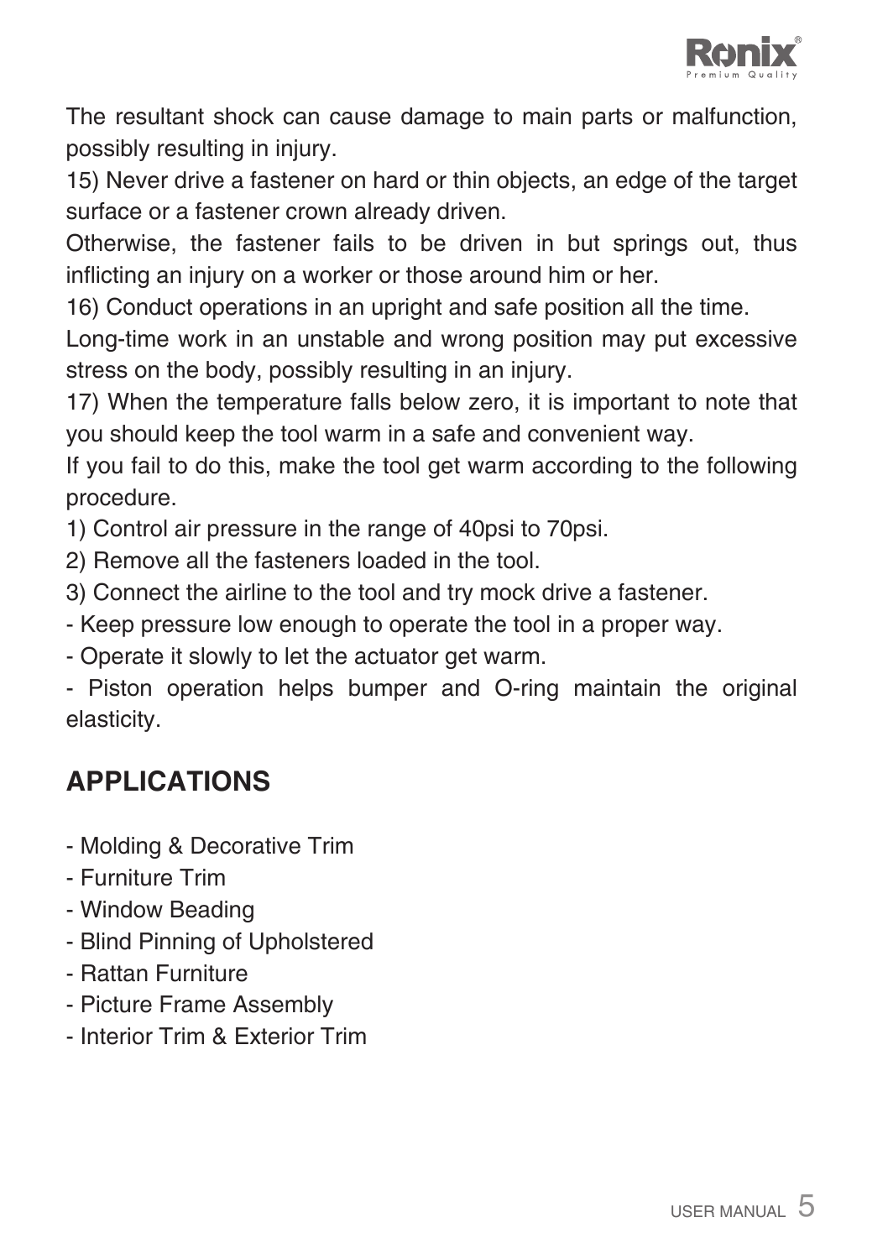

The resultant shock can cause damage to main parts or malfunction, possibly resulting in injury.

15) Never drive a fastener on hard or thin objects, an edge of the target surface or a fastener crown already driven.

Otherwise, the fastener fails to be driven in but springs out, thus inflicting an injury on a worker or those around him or her.

16) Conduct operations in an upright and safe position all the time.

Long-time work in an unstable and wrong position may put excessive stress on the body, possibly resulting in an injury.

17) When the temperature falls below zero, it is important to note that you should keep the tool warm in a safe and convenient way.

If you fail to do this, make the tool get warm according to the following procedure.

1) Control air pressure in the range of 40psi to 70psi.

- 2) Remove all the fasteners loaded in the tool.
- 3) Connect the airline to the tool and try mock drive a fastener.
- Keep pressure low enough to operate the tool in a proper way.
- Operate it slowly to let the actuator get warm.

- Piston operation helps bumper and O-ring maintain the original elasticity.

## **APPLICATIONS**

- Molding & Decorative Trim
- Furniture Trim
- Window Beading
- Blind Pinning of Upholstered
- Rattan Furniture
- Picture Frame Assembly
- Interior Trim & Exterior Trim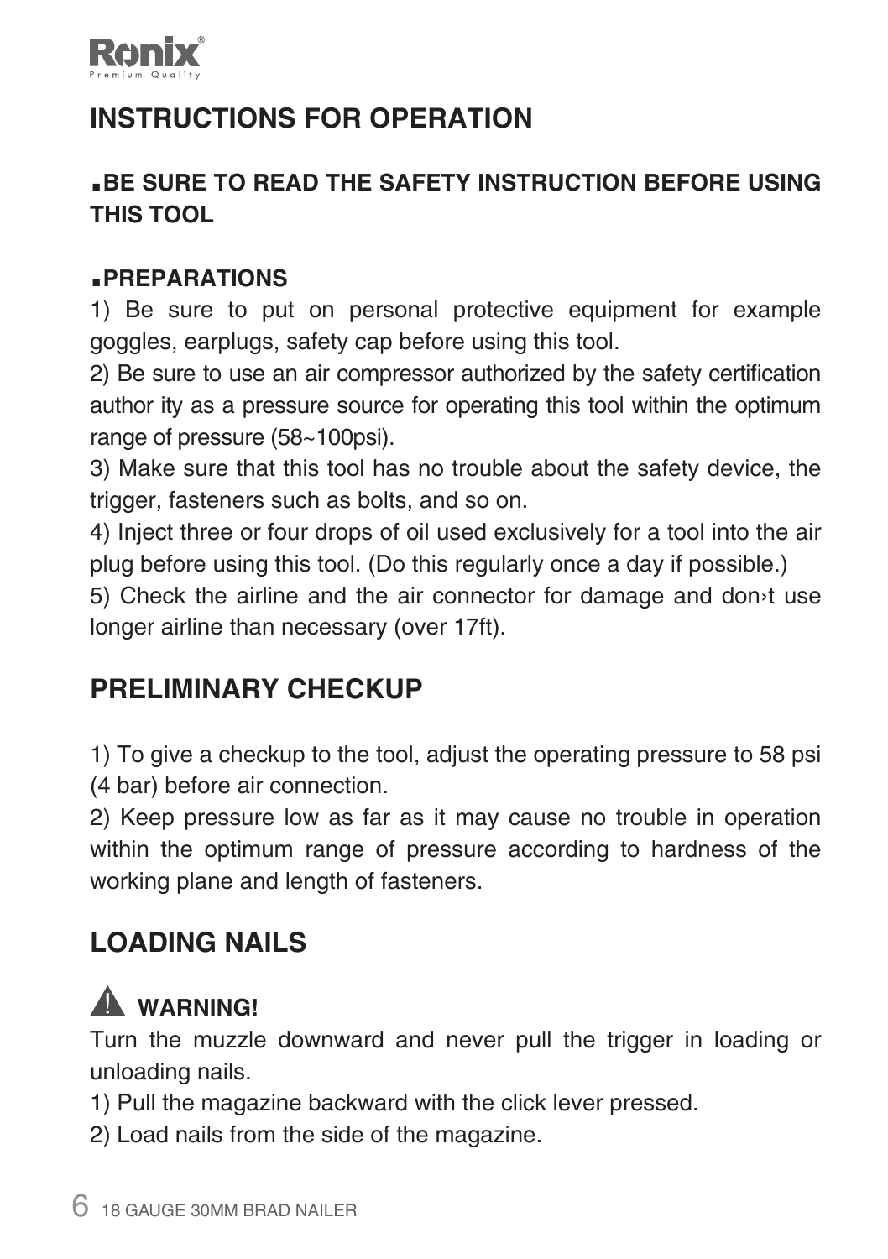

### **INSTRUCTIONS FOR OPERATION**

#### **.BE SURE TO READ THE SAFETY INSTRUCTION BEFORE USING THIS TOOL**

#### **.PREPARATIONS**

1) Be sure to put on personal protective equipment for example goggles, earplugs, safety cap before using this tool.

2) Be sure to use an air compressor authorized by the safety certification author ity as a pressure source for operating this tool within the optimum range of pressure (58~100psi).

3) Make sure that this tool has no trouble about the safety device, the trigger, fasteners such as bolts, and so on.

4) Inject three or four drops of oil used exclusively for a tool into the air plug before using this tool. (Do this regularly once a day if possible.)

5) Check the airline and the air connector for damage and don›t use longer airline than necessary (over 17ft).

#### **PRELIMINARY CHECKUP**

1) To give a checkup to the tool, adjust the operating pressure to 58 psi (4 bar) before air connection.

2) Keep pressure low as far as it may cause no trouble in operation within the optimum range of pressure according to hardness of the working plane and length of fasteners.

### **LOADING NAILS**

## **WARNING!**

Turn the muzzle downward and never pull the trigger in loading or unloading nails.

1) Pull the magazine backward with the click lever pressed.

2) Load nails from the side of the magazine.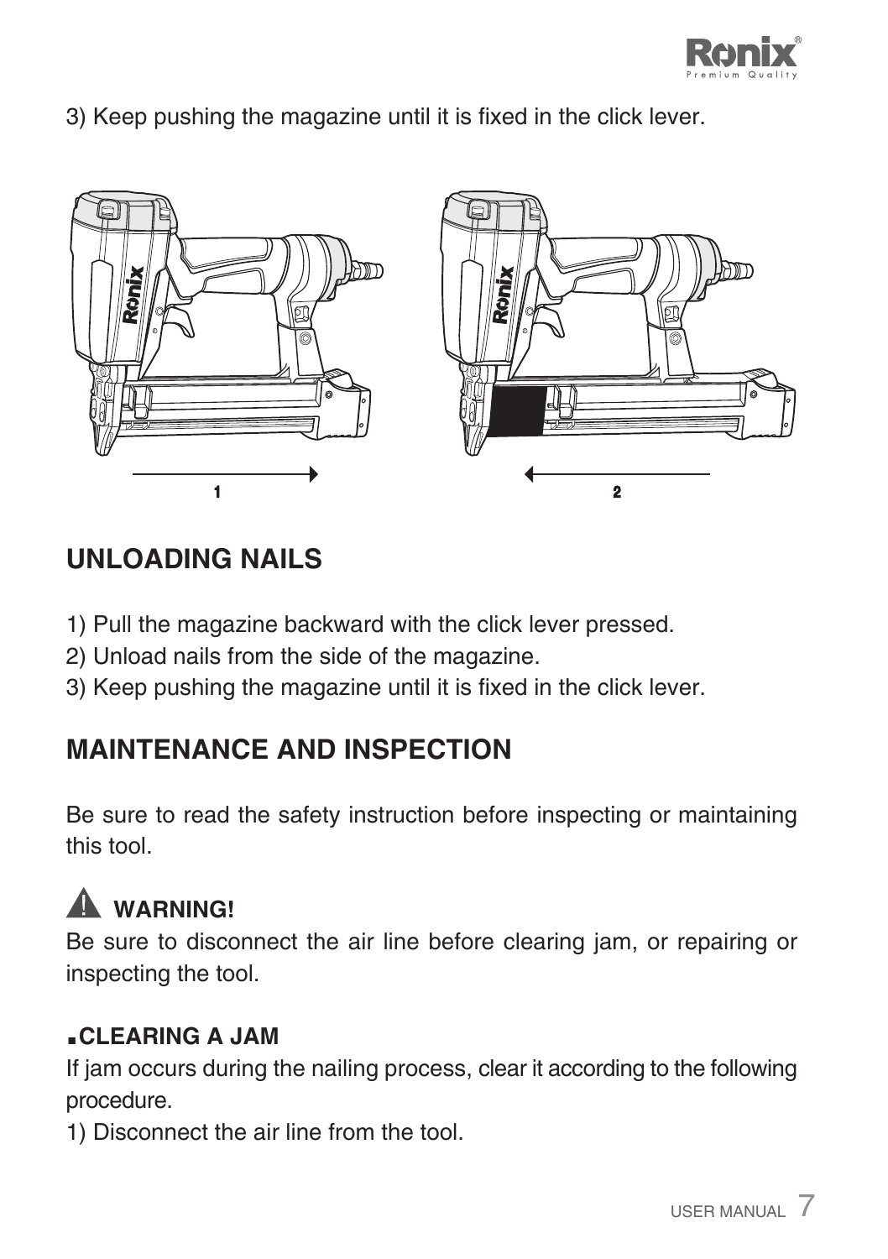

3) Keep pushing the magazine until it is fixed in the click lever.



### **UNLOADING NAILS**

- 1) Pull the magazine backward with the click lever pressed.
- 2) Unload nails from the side of the magazine.
- 3) Keep pushing the magazine until it is fixed in the click lever.

### **MAINTENANCE AND INSPECTION**

Be sure to read the safety instruction before inspecting or maintaining this tool.

# **A** WARNING!

Be sure to disconnect the air line before clearing jam, or repairing or inspecting the tool.

#### **.CLEARING A JAM**

If jam occurs during the nailing process, clear it according to the following procedure.

1) Disconnect the air line from the tool.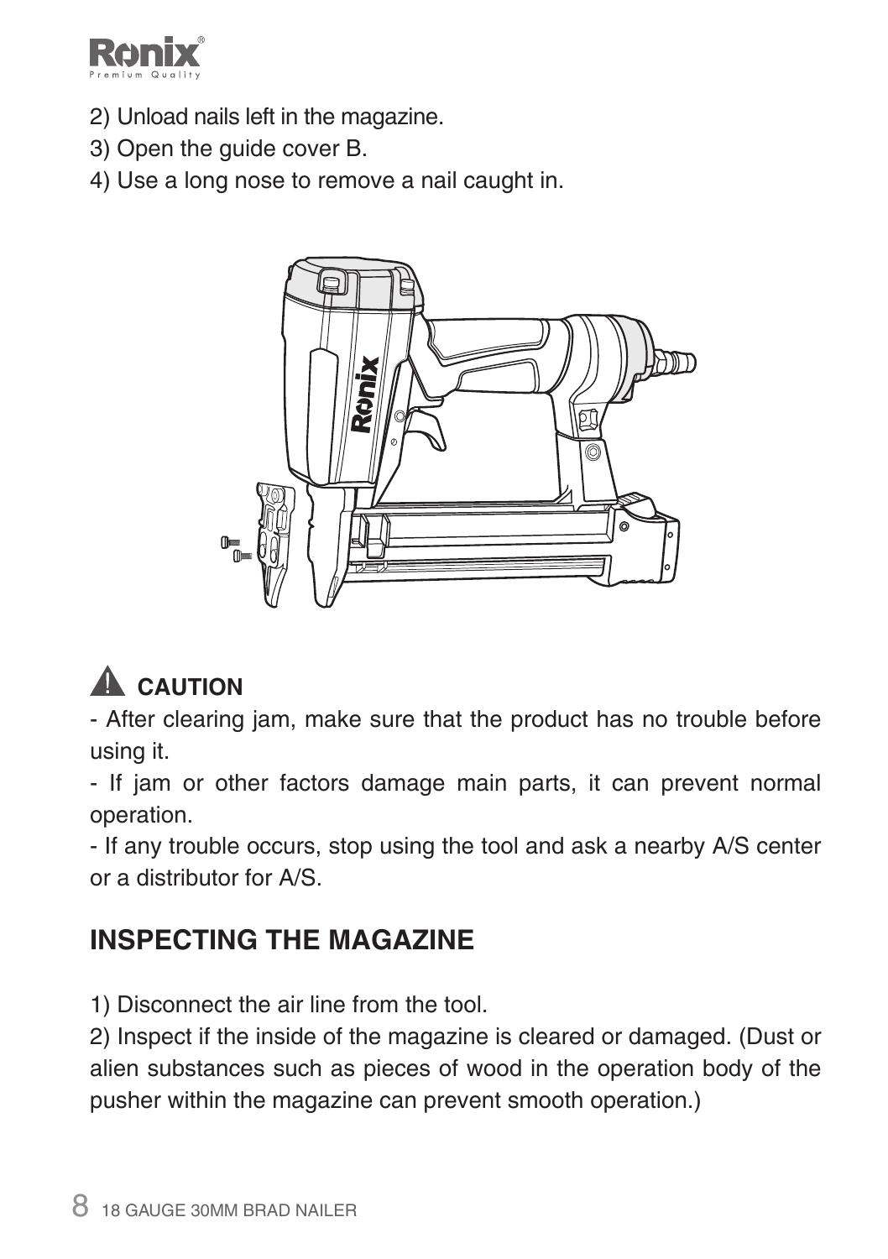

- 2) Unload nails left in the magazine.
- 3) Open the guide cover B.
- 4) Use a long nose to remove a nail caught in.



# **A** CAUTION

- After clearing jam, make sure that the product has no trouble before using it.

- If jam or other factors damage main parts, it can prevent normal operation.

- If any trouble occurs, stop using the tool and ask a nearby A/S center or a distributor for A/S.

#### **INSPECTING THE MAGAZINE**

1) Disconnect the air line from the tool.

2) Inspect if the inside of the magazine is cleared or damaged. (Dust or alien substances such as pieces of wood in the operation body of the pusher within the magazine can prevent smooth operation.)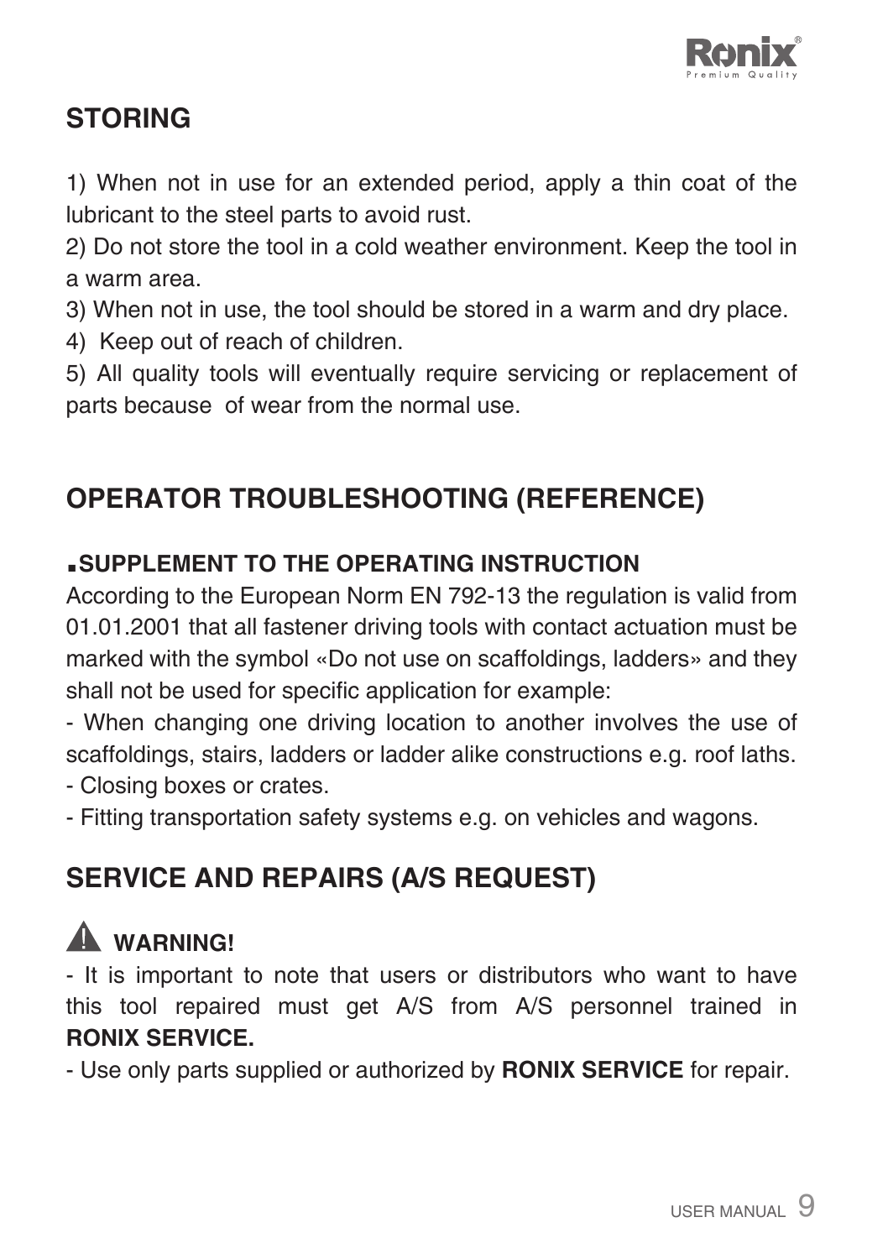

### **STORING**

1) When not in use for an extended period, apply a thin coat of the lubricant to the steel parts to avoid rust.

2) Do not store the tool in a cold weather environment. Keep the tool in a warm area.

3) When not in use, the tool should be stored in a warm and dry place.

4) Keep out of reach of children.

5) All quality tools will eventually require servicing or replacement of parts because of wear from the normal use.

### **OPERATOR TROUBLESHOOTING (REFERENCE)**

#### **.SUPPLEMENT TO THE OPERATING INSTRUCTION**

According to the European Norm EN 792-13 the regulation is valid from 01.01.2001 that all fastener driving tools with contact actuation must be marked with the symbol «Do not use on scaffoldings, ladders» and they shall not be used for specific application for example:

- When changing one driving location to another involves the use of scaffoldings, stairs, ladders or ladder alike constructions e.g. roof laths.

- Closing boxes or crates.

- Fitting transportation safety systems e.g. on vehicles and wagons.

## **SERVICE AND REPAIRS (A/S REQUEST)**

## **WARNING!**

- It is important to note that users or distributors who want to have this tool repaired must get A/S from A/S personnel trained in **RONIX SERVICE.**

- Use only parts supplied or authorized by **RONIX SERVICE** for repair.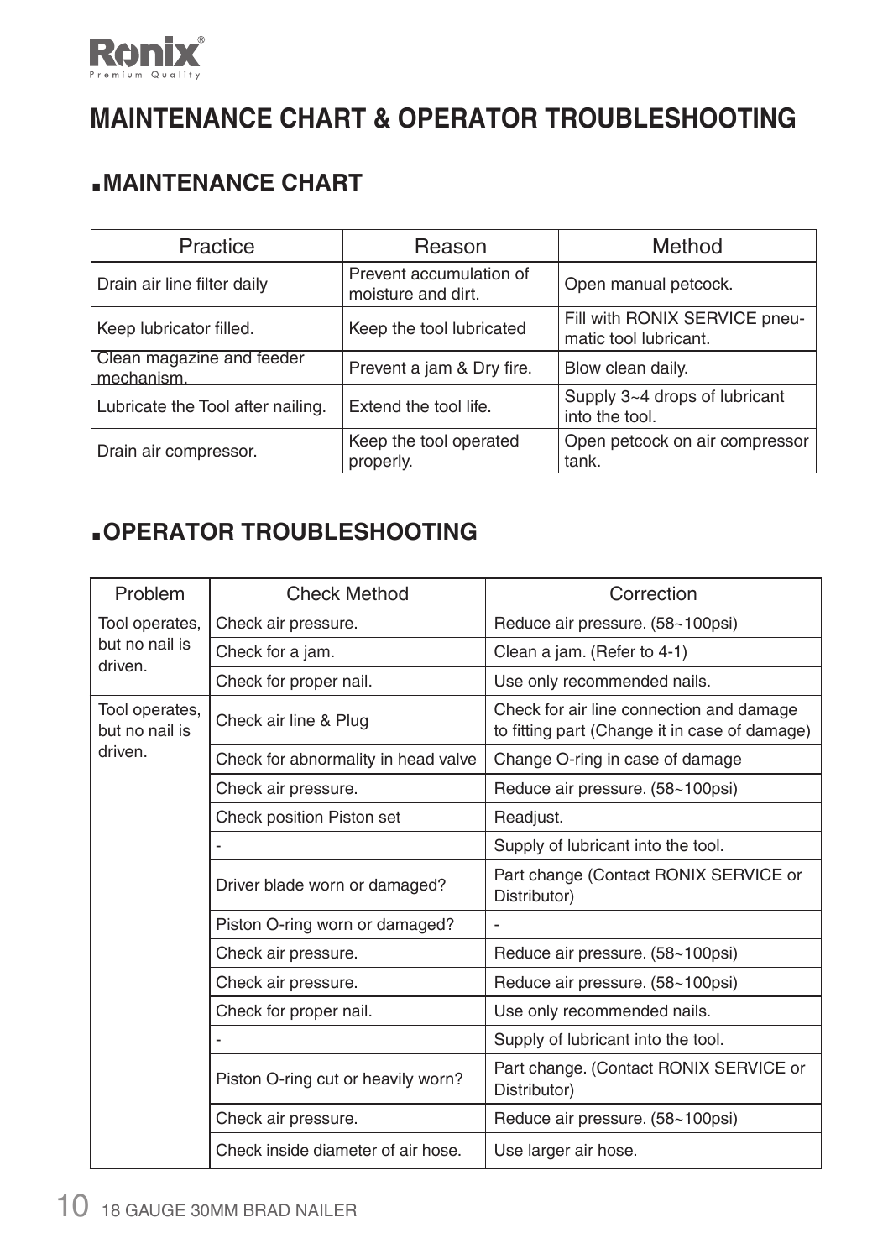

### **MAINTENANCE CHART & OPERATOR TROUBLESHOOTING**

#### **.MAINTENANCE CHART**

| Practice                                | Reason                                        | Method                                                 |
|-----------------------------------------|-----------------------------------------------|--------------------------------------------------------|
| Drain air line filter daily             | Prevent accumulation of<br>moisture and dirt. | Open manual petcock.                                   |
| Keep lubricator filled.                 | Keep the tool lubricated                      | Fill with RONIX SERVICE pneu-<br>matic tool lubricant. |
| Clean magazine and feeder<br>mechanism. | Prevent a jam & Dry fire.                     | Blow clean daily.                                      |
| Lubricate the Tool after nailing.       | Extend the tool life.                         | Supply 3~4 drops of lubricant<br>into the tool.        |
| Drain air compressor.                   | Keep the tool operated<br>properly.           | Open petcock on air compressor<br>tank.                |

#### **.OPERATOR TROUBLESHOOTING**

| Problem                                     | <b>Check Method</b>                 | Correction                                                                                |
|---------------------------------------------|-------------------------------------|-------------------------------------------------------------------------------------------|
| Tool operates,<br>but no nail is<br>driven. | Check air pressure.                 | Reduce air pressure. (58~100psi)                                                          |
|                                             | Check for a jam.                    | Clean a jam. (Refer to 4-1)                                                               |
|                                             | Check for proper nail.              | Use only recommended nails.                                                               |
| Tool operates,<br>but no nail is<br>driven. | Check air line & Plug               | Check for air line connection and damage<br>to fitting part (Change it in case of damage) |
|                                             | Check for abnormality in head valve | Change O-ring in case of damage                                                           |
|                                             | Check air pressure.                 | Reduce air pressure. (58~100psi)                                                          |
|                                             | Check position Piston set           | Readjust.                                                                                 |
|                                             |                                     | Supply of lubricant into the tool.                                                        |
|                                             | Driver blade worn or damaged?       | Part change (Contact RONIX SERVICE or<br>Distributor)                                     |
|                                             | Piston O-ring worn or damaged?      |                                                                                           |
|                                             | Check air pressure.                 | Reduce air pressure. (58~100psi)                                                          |
|                                             | Check air pressure.                 | Reduce air pressure. (58~100psi)                                                          |
|                                             | Check for proper nail.              | Use only recommended nails.                                                               |
|                                             |                                     | Supply of lubricant into the tool.                                                        |
|                                             | Piston O-ring cut or heavily worn?  | Part change. (Contact RONIX SERVICE or<br>Distributor)                                    |
|                                             | Check air pressure.                 | Reduce air pressure. (58~100psi)                                                          |
|                                             | Check inside diameter of air hose.  | Use larger air hose.                                                                      |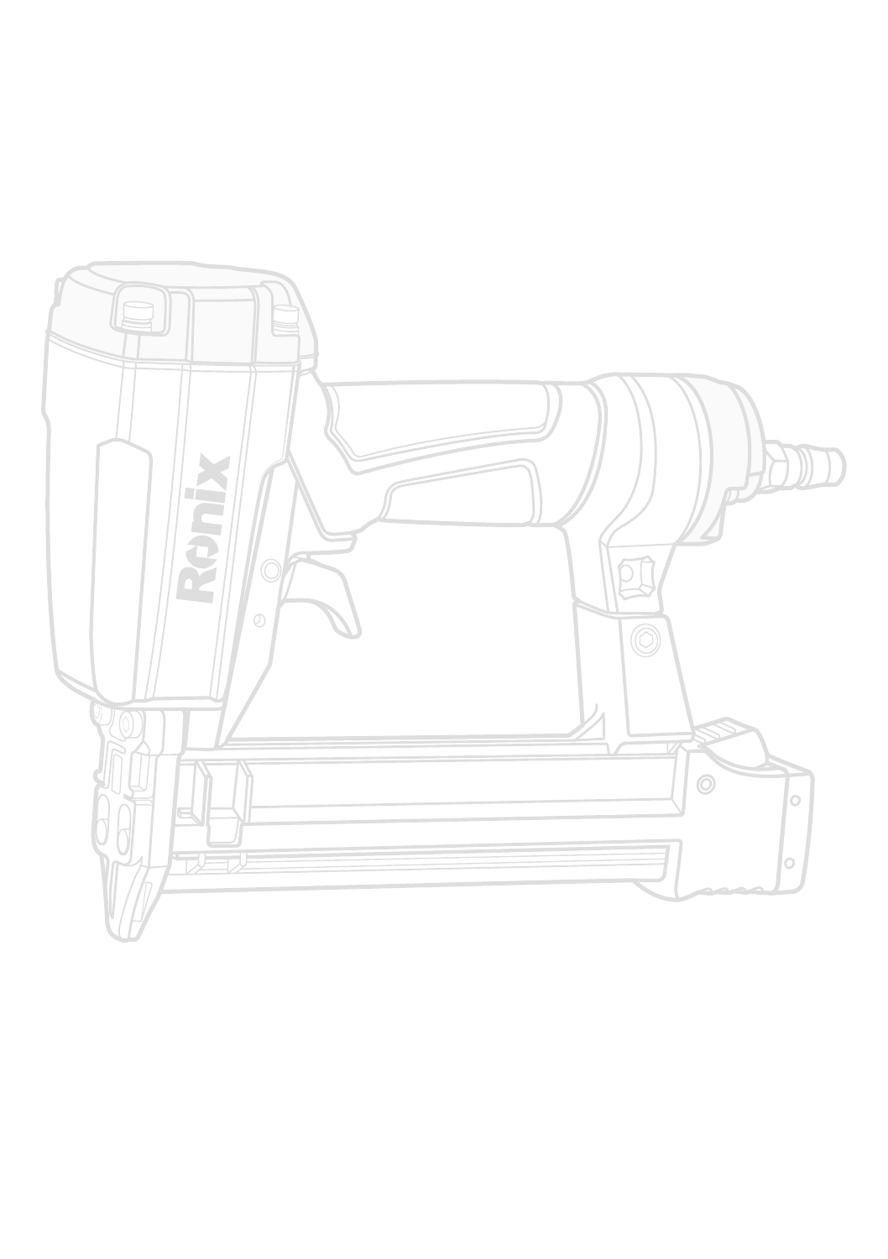